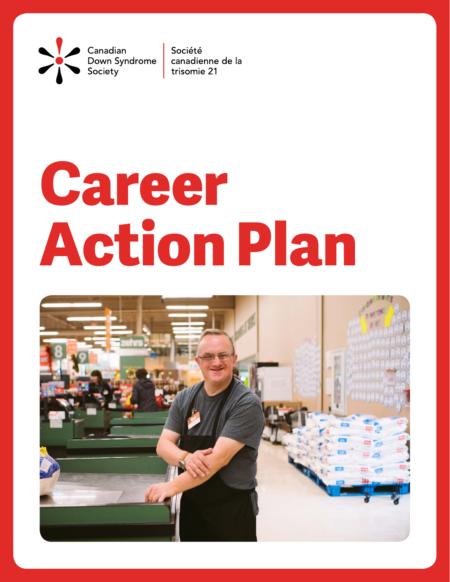Canadian Down Syndrome Society

Société canadienne de la trisomie 21

# **Career Action Plan**

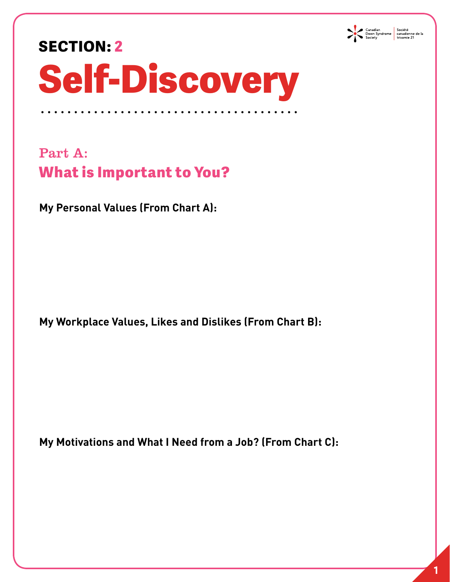

#### **SECTION: 2**

## **Self-Discovery**

Part A: **What is Important to You?** 

**My Personal Values (From Chart A):** 

**My Workplace Values, Likes and Dislikes (From Chart B):**

**My Motivations and What I Need from a Job? (From Chart C):**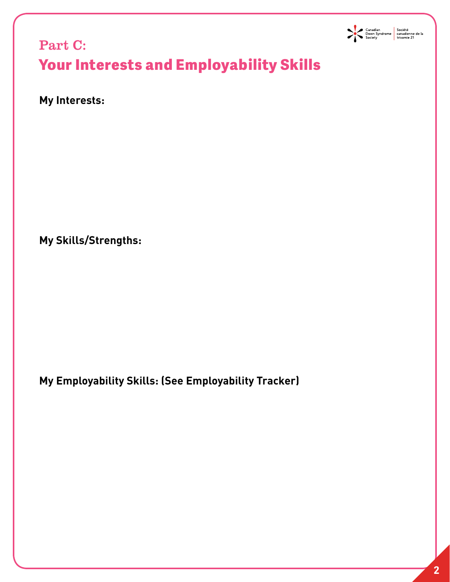

#### Part C: **Your Interests and Employability Skills**

**My Interests:** 

**My Skills/Strengths:**

**My Employability Skills: (See Employability Tracker)**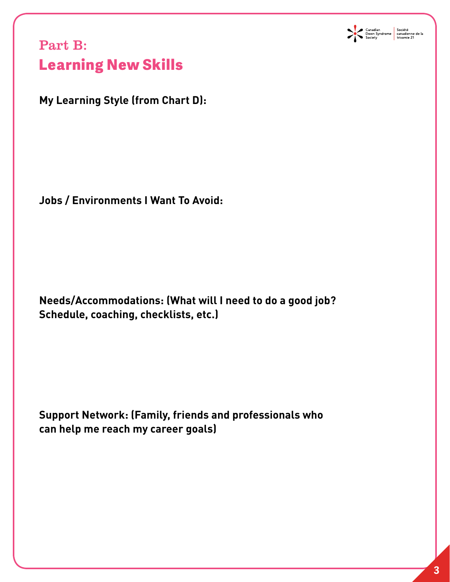

#### Part B: **Learning New Skills**

**My Learning Style (from Chart D):**

**Jobs / Environments I Want To Avoid:**

**Needs/Accommodations: (What will I need to do a good job? Schedule, coaching, checklists, etc.)**

**Support Network: (Family, friends and professionals who can help me reach my career goals)**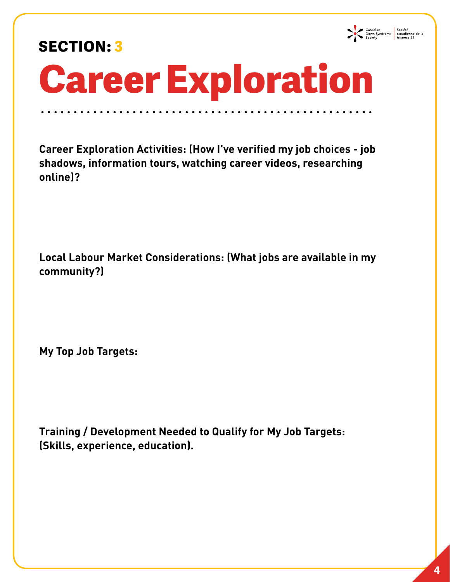#### **SECTION: 3**



### **Career Exploration**

**Career Exploration Activities: (How I've verified my job choices - job shadows, information tours, watching career videos, researching online)?** 

**Local Labour Market Considerations: (What jobs are available in my community?)** 

**My Top Job Targets:** 

**Training / Development Needed to Qualify for My Job Targets: (Skills, experience, education).**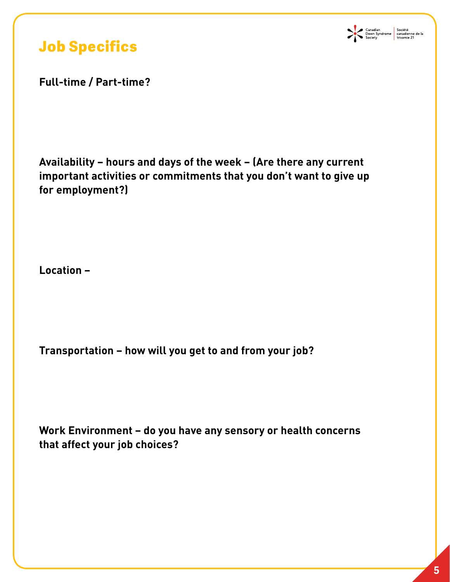

#### **Job Specifics**

**Full-time / Part-time?** 

**Availability – hours and days of the week – (Are there any current important activities or commitments that you don't want to give up for employment?)** 

**Location –** 

**Transportation – how will you get to and from your job?** 

**Work Environment – do you have any sensory or health concerns that affect your job choices?**